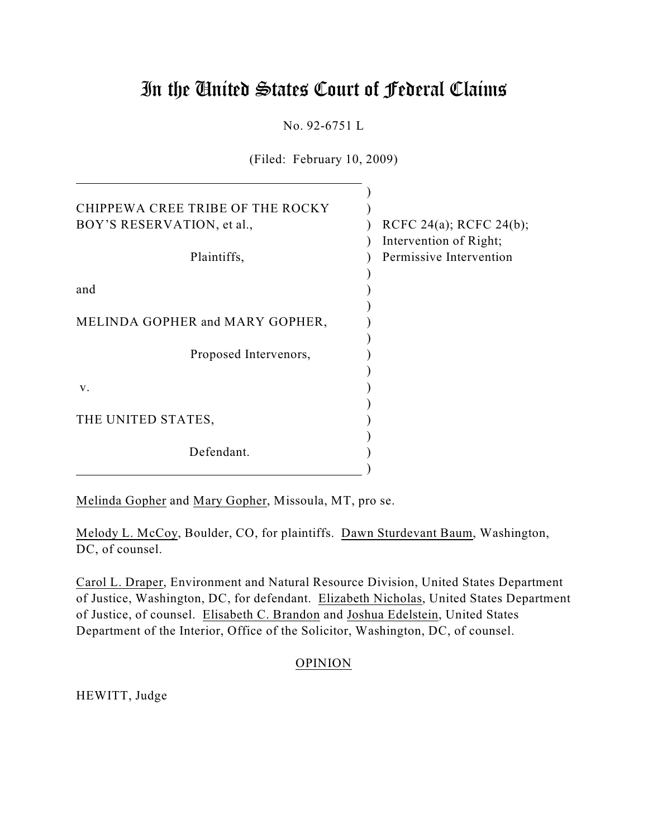# In the United States Court of Federal Claims

No. 92-6751 L

(Filed: February 10, 2009)

| CHIPPEWA CREE TRIBE OF THE ROCKY<br>BOY'S RESERVATION, et al., | RCFC 24(a); RCFC 24(b);                           |
|----------------------------------------------------------------|---------------------------------------------------|
| Plaintiffs,                                                    | Intervention of Right;<br>Permissive Intervention |
| and                                                            |                                                   |
| MELINDA GOPHER and MARY GOPHER,                                |                                                   |
| Proposed Intervenors,                                          |                                                   |
| V.                                                             |                                                   |
| THE UNITED STATES,                                             |                                                   |
| Defendant.                                                     |                                                   |

Melinda Gopher and Mary Gopher, Missoula, MT, pro se.

Melody L. McCoy, Boulder, CO, for plaintiffs. Dawn Sturdevant Baum, Washington, DC, of counsel.

Carol L. Draper, Environment and Natural Resource Division, United States Department of Justice, Washington, DC, for defendant. Elizabeth Nicholas, United States Department of Justice, of counsel. Elisabeth C. Brandon and Joshua Edelstein, United States Department of the Interior, Office of the Solicitor, Washington, DC, of counsel.

# OPINION

HEWITT, Judge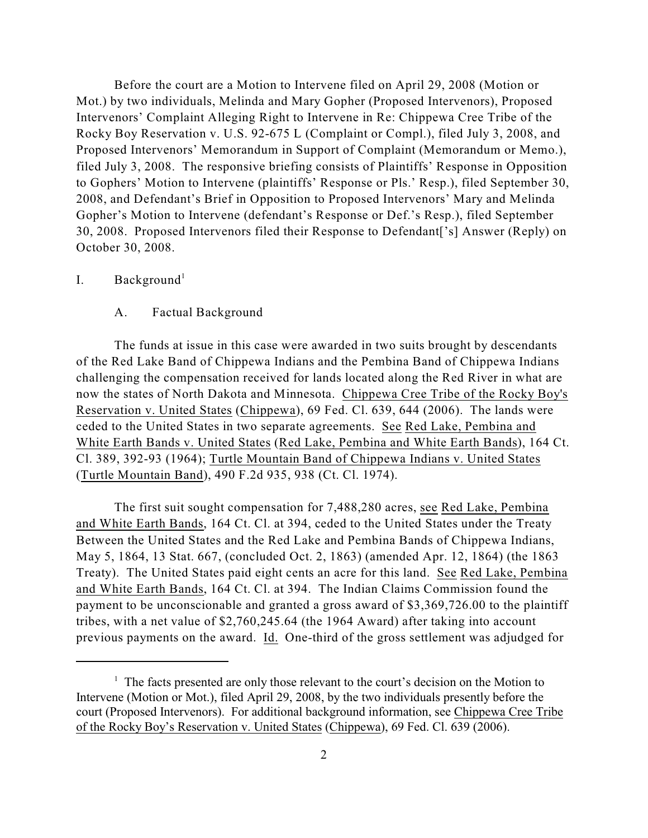Before the court are a Motion to Intervene filed on April 29, 2008 (Motion or Mot.) by two individuals, Melinda and Mary Gopher (Proposed Intervenors), Proposed Intervenors' Complaint Alleging Right to Intervene in Re: Chippewa Cree Tribe of the Rocky Boy Reservation v. U.S. 92-675 L (Complaint or Compl.), filed July 3, 2008, and Proposed Intervenors' Memorandum in Support of Complaint (Memorandum or Memo.), filed July 3, 2008. The responsive briefing consists of Plaintiffs' Response in Opposition to Gophers' Motion to Intervene (plaintiffs' Response or Pls.' Resp.), filed September 30, 2008, and Defendant's Brief in Opposition to Proposed Intervenors' Mary and Melinda Gopher's Motion to Intervene (defendant's Response or Def.'s Resp.), filed September 30, 2008. Proposed Intervenors filed their Response to Defendant['s] Answer (Reply) on October 30, 2008.

## I. Background<sup>1</sup>

#### A. Factual Background

The funds at issue in this case were awarded in two suits brought by descendants of the Red Lake Band of Chippewa Indians and the Pembina Band of Chippewa Indians challenging the compensation received for lands located along the Red River in what are now the states of North Dakota and Minnesota. Chippewa Cree Tribe of the Rocky Boy's Reservation v. United States (Chippewa), 69 Fed. Cl. 639, 644 (2006). The lands were ceded to the United States in two separate agreements. See Red Lake, Pembina and White Earth Bands v. United States (Red Lake, Pembina and White Earth Bands), 164 Ct. Cl. 389, 392-93 (1964); Turtle Mountain Band of Chippewa Indians v. United States (Turtle Mountain Band), 490 F.2d 935, 938 (Ct. Cl. 1974).

The first suit sought compensation for 7,488,280 acres, see Red Lake, Pembina and White Earth Bands, 164 Ct. Cl. at 394, ceded to the United States under the Treaty Between the United States and the Red Lake and Pembina Bands of Chippewa Indians, May 5, 1864, 13 Stat. 667, (concluded Oct. 2, 1863) (amended Apr. 12, 1864) (the 1863 Treaty). The United States paid eight cents an acre for this land. See Red Lake, Pembina and White Earth Bands, 164 Ct. Cl. at 394. The Indian Claims Commission found the payment to be unconscionable and granted a gross award of \$3,369,726.00 to the plaintiff tribes, with a net value of \$2,760,245.64 (the 1964 Award) after taking into account previous payments on the award. Id. One-third of the gross settlement was adjudged for

 $<sup>1</sup>$  The facts presented are only those relevant to the court's decision on the Motion to</sup> Intervene (Motion or Mot.), filed April 29, 2008, by the two individuals presently before the court (Proposed Intervenors). For additional background information, see Chippewa Cree Tribe of the Rocky Boy's Reservation v. United States (Chippewa), 69 Fed. Cl. 639 (2006).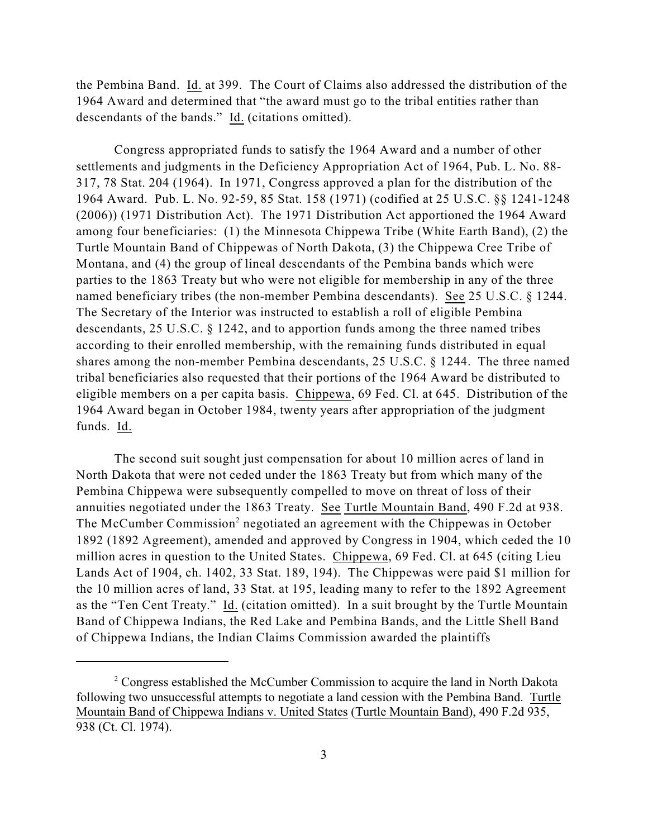the Pembina Band. Id. at 399. The Court of Claims also addressed the distribution of the 1964 Award and determined that "the award must go to the tribal entities rather than descendants of the bands." Id. (citations omitted).

Congress appropriated funds to satisfy the 1964 Award and a number of other settlements and judgments in the Deficiency Appropriation Act of 1964, Pub. L. No. 88- 317, 78 Stat. 204 (1964). In 1971, Congress approved a plan for the distribution of the 1964 Award. Pub. L. No. 92-59, 85 Stat. 158 (1971) (codified at 25 U.S.C. §§ 1241-1248 (2006)) (1971 Distribution Act). The 1971 Distribution Act apportioned the 1964 Award among four beneficiaries: (1) the Minnesota Chippewa Tribe (White Earth Band), (2) the Turtle Mountain Band of Chippewas of North Dakota, (3) the Chippewa Cree Tribe of Montana, and (4) the group of lineal descendants of the Pembina bands which were parties to the 1863 Treaty but who were not eligible for membership in any of the three named beneficiary tribes (the non-member Pembina descendants). See 25 U.S.C. § 1244. The Secretary of the Interior was instructed to establish a roll of eligible Pembina descendants, 25 U.S.C. § 1242, and to apportion funds among the three named tribes according to their enrolled membership, with the remaining funds distributed in equal shares among the non-member Pembina descendants, 25 U.S.C. § 1244. The three named tribal beneficiaries also requested that their portions of the 1964 Award be distributed to eligible members on a per capita basis. Chippewa, 69 Fed. Cl. at 645. Distribution of the 1964 Award began in October 1984, twenty years after appropriation of the judgment funds. Id.

The second suit sought just compensation for about 10 million acres of land in North Dakota that were not ceded under the 1863 Treaty but from which many of the Pembina Chippewa were subsequently compelled to move on threat of loss of their annuities negotiated under the 1863 Treaty. See Turtle Mountain Band, 490 F.2d at 938. The McCumber Commission<sup>2</sup> negotiated an agreement with the Chippewas in October 1892 (1892 Agreement), amended and approved by Congress in 1904, which ceded the 10 million acres in question to the United States. Chippewa, 69 Fed. Cl. at 645 (citing Lieu Lands Act of 1904, ch. 1402, 33 Stat. 189, 194). The Chippewas were paid \$1 million for the 10 million acres of land, 33 Stat. at 195, leading many to refer to the 1892 Agreement as the "Ten Cent Treaty." Id. (citation omitted). In a suit brought by the Turtle Mountain Band of Chippewa Indians, the Red Lake and Pembina Bands, and the Little Shell Band of Chippewa Indians, the Indian Claims Commission awarded the plaintiffs

<sup>&</sup>lt;sup>2</sup> Congress established the McCumber Commission to acquire the land in North Dakota following two unsuccessful attempts to negotiate a land cession with the Pembina Band. Turtle Mountain Band of Chippewa Indians v. United States (Turtle Mountain Band), 490 F.2d 935, 938 (Ct. Cl. 1974).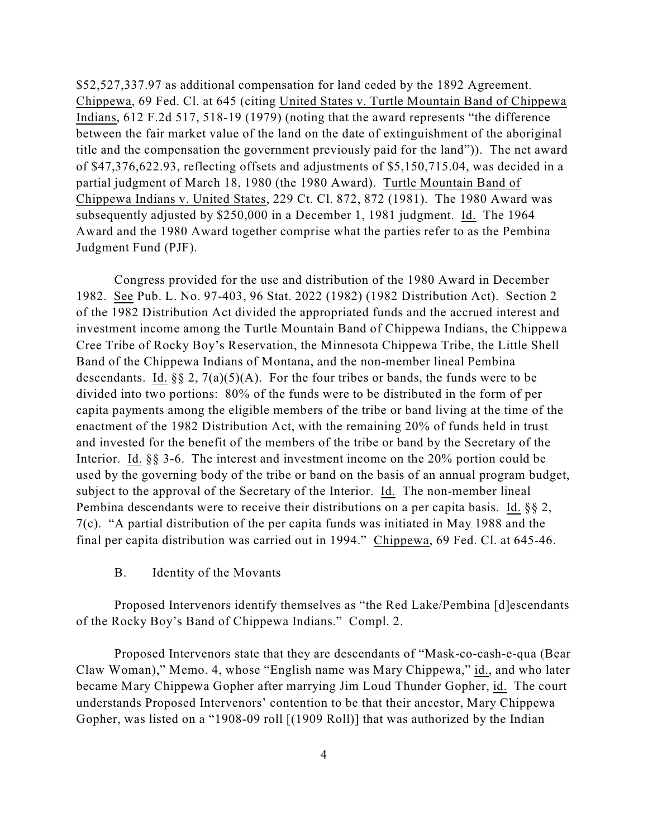\$52,527,337.97 as additional compensation for land ceded by the 1892 Agreement. Chippewa, 69 Fed. Cl. at 645 (citing United States v. Turtle Mountain Band of Chippewa Indians, 612 F.2d 517, 518-19 (1979) (noting that the award represents "the difference between the fair market value of the land on the date of extinguishment of the aboriginal title and the compensation the government previously paid for the land")). The net award of \$47,376,622.93, reflecting offsets and adjustments of \$5,150,715.04, was decided in a partial judgment of March 18, 1980 (the 1980 Award). Turtle Mountain Band of Chippewa Indians v. United States, 229 Ct. Cl. 872, 872 (1981). The 1980 Award was subsequently adjusted by \$250,000 in a December 1, 1981 judgment. Id. The 1964 Award and the 1980 Award together comprise what the parties refer to as the Pembina Judgment Fund (PJF).

Congress provided for the use and distribution of the 1980 Award in December 1982. See Pub. L. No. 97-403, 96 Stat. 2022 (1982) (1982 Distribution Act). Section 2 of the 1982 Distribution Act divided the appropriated funds and the accrued interest and investment income among the Turtle Mountain Band of Chippewa Indians, the Chippewa Cree Tribe of Rocky Boy's Reservation, the Minnesota Chippewa Tribe, the Little Shell Band of the Chippewa Indians of Montana, and the non-member lineal Pembina descendants. Id.  $\S$ § 2, 7(a)(5)(A). For the four tribes or bands, the funds were to be divided into two portions: 80% of the funds were to be distributed in the form of per capita payments among the eligible members of the tribe or band living at the time of the enactment of the 1982 Distribution Act, with the remaining 20% of funds held in trust and invested for the benefit of the members of the tribe or band by the Secretary of the Interior. Id. §§ 3-6. The interest and investment income on the 20% portion could be used by the governing body of the tribe or band on the basis of an annual program budget, subject to the approval of the Secretary of the Interior. Id. The non-member lineal Pembina descendants were to receive their distributions on a per capita basis. Id. §§ 2, 7(c). "A partial distribution of the per capita funds was initiated in May 1988 and the final per capita distribution was carried out in 1994." Chippewa, 69 Fed. Cl. at 645-46.

## B. Identity of the Movants

Proposed Intervenors identify themselves as "the Red Lake/Pembina [d]escendants of the Rocky Boy's Band of Chippewa Indians." Compl. 2.

Proposed Intervenors state that they are descendants of "Mask-co-cash-e-qua (Bear Claw Woman)," Memo. 4, whose "English name was Mary Chippewa," id., and who later became Mary Chippewa Gopher after marrying Jim Loud Thunder Gopher, id. The court understands Proposed Intervenors' contention to be that their ancestor, Mary Chippewa Gopher, was listed on a "1908-09 roll [(1909 Roll)] that was authorized by the Indian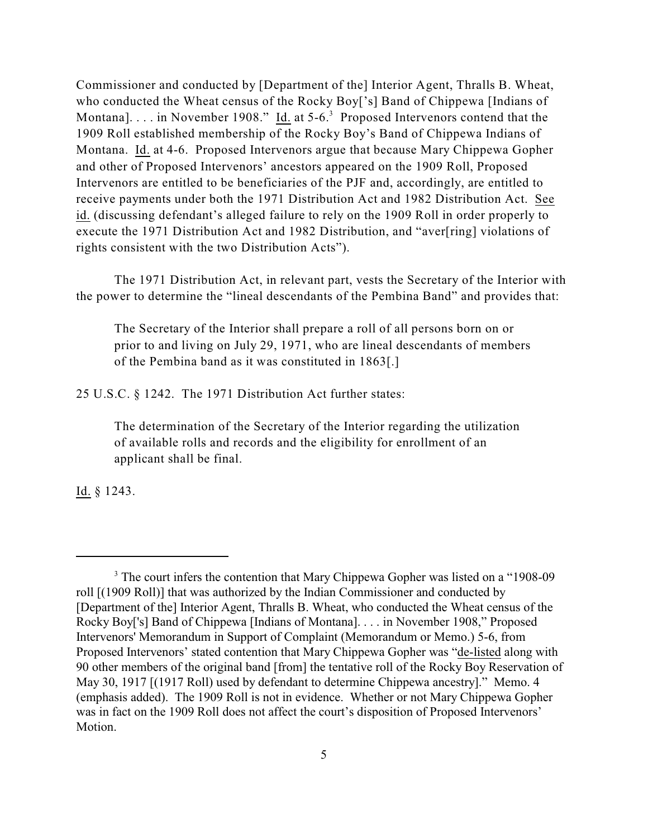Commissioner and conducted by [Department of the] Interior Agent, Thralls B. Wheat, who conducted the Wheat census of the Rocky Boy['s] Band of Chippewa [Indians of Montana]. . . . in November 1908." Id. at  $5-6.3$  Proposed Intervenors contend that the 1909 Roll established membership of the Rocky Boy's Band of Chippewa Indians of Montana. Id. at 4-6. Proposed Intervenors argue that because Mary Chippewa Gopher and other of Proposed Intervenors' ancestors appeared on the 1909 Roll, Proposed Intervenors are entitled to be beneficiaries of the PJF and, accordingly, are entitled to receive payments under both the 1971 Distribution Act and 1982 Distribution Act. See id. (discussing defendant's alleged failure to rely on the 1909 Roll in order properly to execute the 1971 Distribution Act and 1982 Distribution, and "aver[ring] violations of rights consistent with the two Distribution Acts").

The 1971 Distribution Act, in relevant part, vests the Secretary of the Interior with the power to determine the "lineal descendants of the Pembina Band" and provides that:

The Secretary of the Interior shall prepare a roll of all persons born on or prior to and living on July 29, 1971, who are lineal descendants of members of the Pembina band as it was constituted in 1863[.]

25 U.S.C. § 1242. The 1971 Distribution Act further states:

The determination of the Secretary of the Interior regarding the utilization of available rolls and records and the eligibility for enrollment of an applicant shall be final.

Id. § 1243.

<sup>&</sup>lt;sup>3</sup> The court infers the contention that Mary Chippewa Gopher was listed on a "1908-09" roll [(1909 Roll)] that was authorized by the Indian Commissioner and conducted by [Department of the] Interior Agent, Thralls B. Wheat, who conducted the Wheat census of the Rocky Boy['s] Band of Chippewa [Indians of Montana]. . . . in November 1908," Proposed Intervenors' Memorandum in Support of Complaint (Memorandum or Memo.) 5-6, from Proposed Intervenors' stated contention that Mary Chippewa Gopher was "de-listed along with 90 other members of the original band [from] the tentative roll of the Rocky Boy Reservation of May 30, 1917 [(1917 Roll) used by defendant to determine Chippewa ancestry]." Memo. 4 (emphasis added). The 1909 Roll is not in evidence. Whether or not Mary Chippewa Gopher was in fact on the 1909 Roll does not affect the court's disposition of Proposed Intervenors' Motion.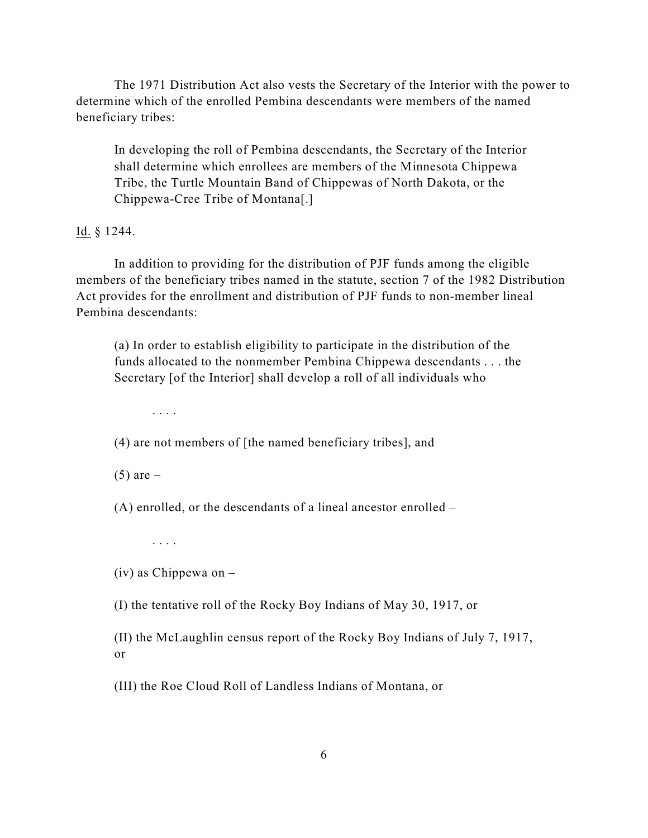The 1971 Distribution Act also vests the Secretary of the Interior with the power to determine which of the enrolled Pembina descendants were members of the named beneficiary tribes:

In developing the roll of Pembina descendants, the Secretary of the Interior shall determine which enrollees are members of the Minnesota Chippewa Tribe, the Turtle Mountain Band of Chippewas of North Dakota, or the Chippewa-Cree Tribe of Montana[.]

Id. § 1244.

In addition to providing for the distribution of PJF funds among the eligible members of the beneficiary tribes named in the statute, section 7 of the 1982 Distribution Act provides for the enrollment and distribution of PJF funds to non-member lineal Pembina descendants:

(a) In order to establish eligibility to participate in the distribution of the funds allocated to the nonmember Pembina Chippewa descendants . . . the Secretary [of the Interior] shall develop a roll of all individuals who

. . . .

(4) are not members of [the named beneficiary tribes], and

 $(5)$  are  $-$ 

(A) enrolled, or the descendants of a lineal ancestor enrolled –

. . . .

(iv) as Chippewa on –

(I) the tentative roll of the Rocky Boy Indians of May 30, 1917, or

(II) the McLaughlin census report of the Rocky Boy Indians of July 7, 1917, or

(III) the Roe Cloud Roll of Landless Indians of Montana, or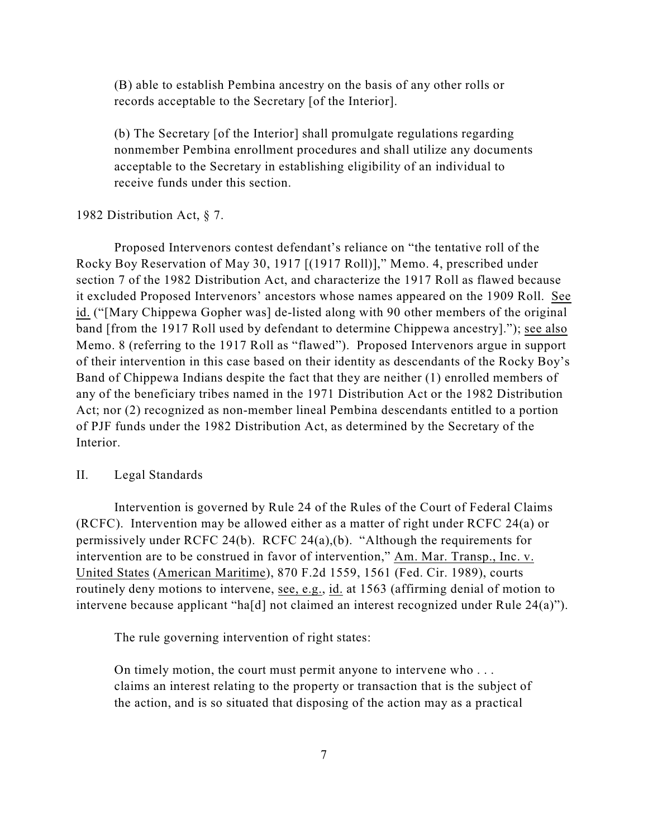(B) able to establish Pembina ancestry on the basis of any other rolls or records acceptable to the Secretary [of the Interior].

(b) The Secretary [of the Interior] shall promulgate regulations regarding nonmember Pembina enrollment procedures and shall utilize any documents acceptable to the Secretary in establishing eligibility of an individual to receive funds under this section.

## 1982 Distribution Act, § 7.

Proposed Intervenors contest defendant's reliance on "the tentative roll of the Rocky Boy Reservation of May 30, 1917 [(1917 Roll)]," Memo. 4, prescribed under section 7 of the 1982 Distribution Act, and characterize the 1917 Roll as flawed because it excluded Proposed Intervenors' ancestors whose names appeared on the 1909 Roll. See id. ("[Mary Chippewa Gopher was] de-listed along with 90 other members of the original band [from the 1917 Roll used by defendant to determine Chippewa ancestry]."); see also Memo. 8 (referring to the 1917 Roll as "flawed"). Proposed Intervenors argue in support of their intervention in this case based on their identity as descendants of the Rocky Boy's Band of Chippewa Indians despite the fact that they are neither (1) enrolled members of any of the beneficiary tribes named in the 1971 Distribution Act or the 1982 Distribution Act; nor (2) recognized as non-member lineal Pembina descendants entitled to a portion of PJF funds under the 1982 Distribution Act, as determined by the Secretary of the Interior.

## II. Legal Standards

Intervention is governed by Rule 24 of the Rules of the Court of Federal Claims (RCFC). Intervention may be allowed either as a matter of right under RCFC 24(a) or permissively under RCFC 24(b). RCFC 24(a),(b). "Although the requirements for intervention are to be construed in favor of intervention," Am. Mar. Transp., Inc. v. United States (American Maritime), 870 F.2d 1559, 1561 (Fed. Cir. 1989), courts routinely deny motions to intervene, see, e.g., id. at 1563 (affirming denial of motion to intervene because applicant "ha[d] not claimed an interest recognized under Rule 24(a)").

The rule governing intervention of right states:

On timely motion, the court must permit anyone to intervene who . . . claims an interest relating to the property or transaction that is the subject of the action, and is so situated that disposing of the action may as a practical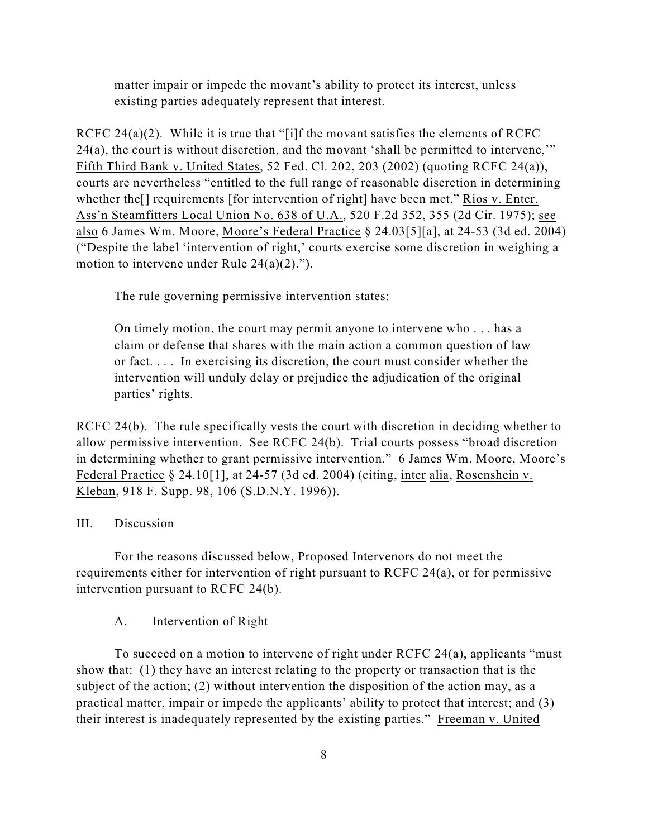matter impair or impede the movant's ability to protect its interest, unless existing parties adequately represent that interest.

RCFC 24(a)(2). While it is true that "[i]f the movant satisfies the elements of RCFC 24(a), the court is without discretion, and the movant 'shall be permitted to intervene,'" Fifth Third Bank v. United States, 52 Fed. Cl. 202, 203 (2002) (quoting RCFC 24(a)), courts are nevertheless "entitled to the full range of reasonable discretion in determining whether the<sup>[]</sup> requirements [for intervention of right] have been met," Rios v. Enter. Ass'n Steamfitters Local Union No. 638 of U.A., 520 F.2d 352, 355 (2d Cir. 1975); see also 6 James Wm. Moore, Moore's Federal Practice § 24.03[5][a], at 24-53 (3d ed. 2004) ("Despite the label 'intervention of right,' courts exercise some discretion in weighing a motion to intervene under Rule 24(a)(2).").

The rule governing permissive intervention states:

On timely motion, the court may permit anyone to intervene who . . . has a claim or defense that shares with the main action a common question of law or fact. . . . In exercising its discretion, the court must consider whether the intervention will unduly delay or prejudice the adjudication of the original parties' rights.

RCFC 24(b). The rule specifically vests the court with discretion in deciding whether to allow permissive intervention. See RCFC 24(b). Trial courts possess "broad discretion in determining whether to grant permissive intervention." 6 James Wm. Moore, Moore's Federal Practice § 24.10[1], at 24-57 (3d ed. 2004) (citing, inter alia, Rosenshein v. Kleban, 918 F. Supp. 98, 106 (S.D.N.Y. 1996)).

## III. Discussion

For the reasons discussed below, Proposed Intervenors do not meet the requirements either for intervention of right pursuant to RCFC 24(a), or for permissive intervention pursuant to RCFC 24(b).

A. Intervention of Right

To succeed on a motion to intervene of right under RCFC 24(a), applicants "must show that: (1) they have an interest relating to the property or transaction that is the subject of the action; (2) without intervention the disposition of the action may, as a practical matter, impair or impede the applicants' ability to protect that interest; and (3) their interest is inadequately represented by the existing parties." Freeman v. United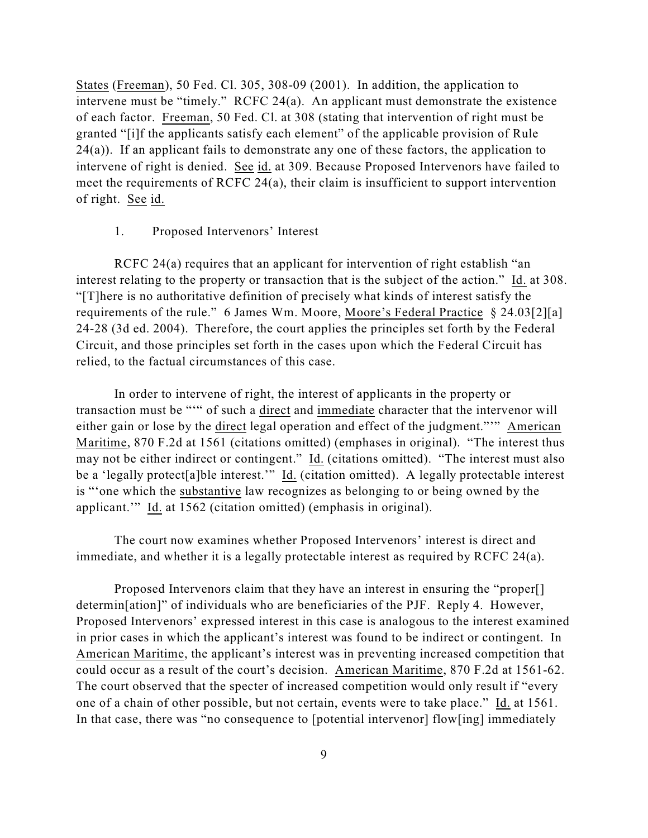States (Freeman), 50 Fed. Cl. 305, 308-09 (2001). In addition, the application to intervene must be "timely." RCFC 24(a). An applicant must demonstrate the existence of each factor. Freeman, 50 Fed. Cl. at 308 (stating that intervention of right must be granted "[i]f the applicants satisfy each element" of the applicable provision of Rule  $24(a)$ ). If an applicant fails to demonstrate any one of these factors, the application to intervene of right is denied. See id. at 309. Because Proposed Intervenors have failed to meet the requirements of RCFC 24(a), their claim is insufficient to support intervention of right. See id.

#### 1. Proposed Intervenors' Interest

RCFC 24(a) requires that an applicant for intervention of right establish "an interest relating to the property or transaction that is the subject of the action." Id. at 308. "[T]here is no authoritative definition of precisely what kinds of interest satisfy the requirements of the rule." 6 James Wm. Moore, Moore's Federal Practice § 24.03[2][a] 24-28 (3d ed. 2004). Therefore, the court applies the principles set forth by the Federal Circuit, and those principles set forth in the cases upon which the Federal Circuit has relied, to the factual circumstances of this case.

In order to intervene of right, the interest of applicants in the property or transaction must be "'" of such a direct and immediate character that the intervenor will either gain or lose by the direct legal operation and effect of the judgment."'" American Maritime, 870 F.2d at 1561 (citations omitted) (emphases in original). "The interest thus may not be either indirect or contingent." Id. (citations omitted). "The interest must also be a 'legally protect<sup>[a]ble</sup> interest.'" Id. (citation omitted). A legally protectable interest is "'one which the substantive law recognizes as belonging to or being owned by the applicant.'" Id. at 1562 (citation omitted) (emphasis in original).

The court now examines whether Proposed Intervenors' interest is direct and immediate, and whether it is a legally protectable interest as required by RCFC 24(a).

Proposed Intervenors claim that they have an interest in ensuring the "proper[] determin[ation]" of individuals who are beneficiaries of the PJF. Reply 4. However, Proposed Intervenors' expressed interest in this case is analogous to the interest examined in prior cases in which the applicant's interest was found to be indirect or contingent. In American Maritime, the applicant's interest was in preventing increased competition that could occur as a result of the court's decision. American Maritime, 870 F.2d at 1561-62. The court observed that the specter of increased competition would only result if "every one of a chain of other possible, but not certain, events were to take place." Id. at 1561. In that case, there was "no consequence to [potential intervenor] flow[ing] immediately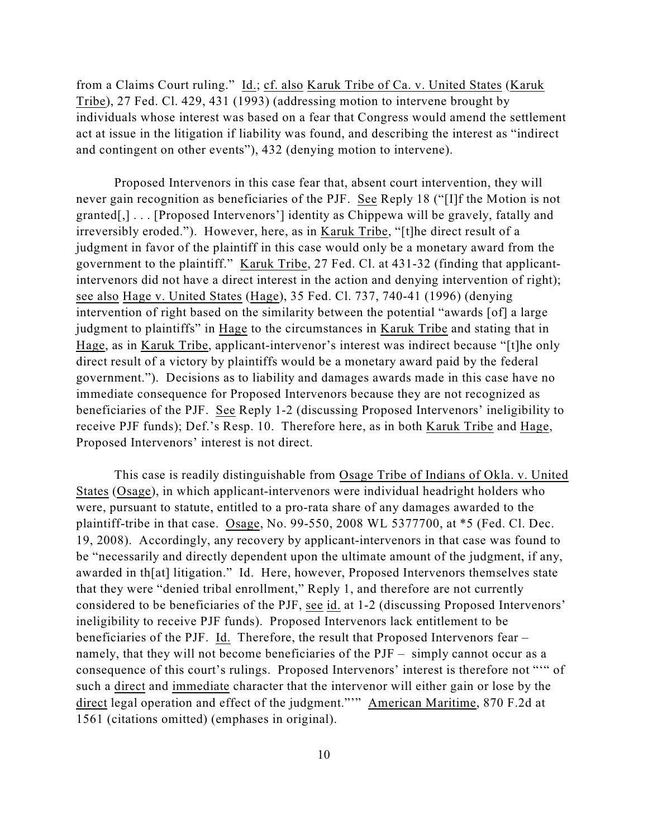from a Claims Court ruling." Id.; cf. also Karuk Tribe of Ca. v. United States (Karuk Tribe), 27 Fed. Cl. 429, 431 (1993) (addressing motion to intervene brought by individuals whose interest was based on a fear that Congress would amend the settlement act at issue in the litigation if liability was found, and describing the interest as "indirect and contingent on other events"), 432 (denying motion to intervene).

Proposed Intervenors in this case fear that, absent court intervention, they will never gain recognition as beneficiaries of the PJF. See Reply 18 ("[I]f the Motion is not granted[,] . . . [Proposed Intervenors'] identity as Chippewa will be gravely, fatally and irreversibly eroded."). However, here, as in Karuk Tribe, "[t]he direct result of a judgment in favor of the plaintiff in this case would only be a monetary award from the government to the plaintiff." Karuk Tribe, 27 Fed. Cl. at 431-32 (finding that applicantintervenors did not have a direct interest in the action and denying intervention of right); see also Hage v. United States (Hage), 35 Fed. Cl. 737, 740-41 (1996) (denying intervention of right based on the similarity between the potential "awards [of] a large judgment to plaintiffs" in Hage to the circumstances in Karuk Tribe and stating that in Hage, as in Karuk Tribe, applicant-intervenor's interest was indirect because "[t]he only direct result of a victory by plaintiffs would be a monetary award paid by the federal government."). Decisions as to liability and damages awards made in this case have no immediate consequence for Proposed Intervenors because they are not recognized as beneficiaries of the PJF. See Reply 1-2 (discussing Proposed Intervenors' ineligibility to receive PJF funds); Def.'s Resp. 10. Therefore here, as in both Karuk Tribe and Hage, Proposed Intervenors' interest is not direct.

This case is readily distinguishable from Osage Tribe of Indians of Okla. v. United States (Osage), in which applicant-intervenors were individual headright holders who were, pursuant to statute, entitled to a pro-rata share of any damages awarded to the plaintiff-tribe in that case. Osage, No. 99-550, 2008 WL 5377700, at \*5 (Fed. Cl. Dec. 19, 2008). Accordingly, any recovery by applicant-intervenors in that case was found to be "necessarily and directly dependent upon the ultimate amount of the judgment, if any, awarded in th[at] litigation." Id. Here, however, Proposed Intervenors themselves state that they were "denied tribal enrollment," Reply 1, and therefore are not currently considered to be beneficiaries of the PJF, see id. at 1-2 (discussing Proposed Intervenors' ineligibility to receive PJF funds). Proposed Intervenors lack entitlement to be beneficiaries of the PJF. Id. Therefore, the result that Proposed Intervenors fear – namely, that they will not become beneficiaries of the PJF – simply cannot occur as a consequence of this court's rulings. Proposed Intervenors' interest is therefore not "'" of such a direct and immediate character that the intervenor will either gain or lose by the direct legal operation and effect of the judgment."" American Maritime, 870 F.2d at 1561 (citations omitted) (emphases in original).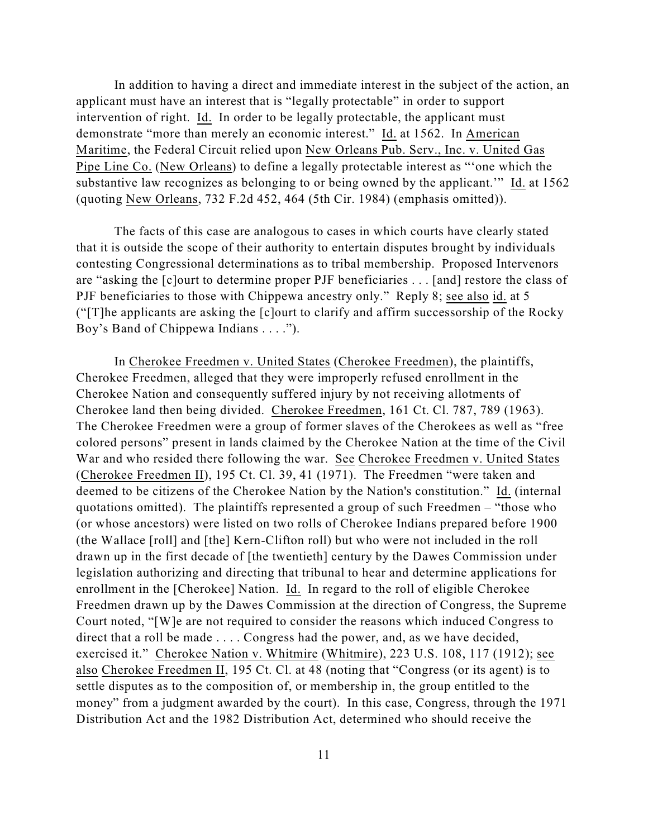In addition to having a direct and immediate interest in the subject of the action, an applicant must have an interest that is "legally protectable" in order to support intervention of right. Id. In order to be legally protectable, the applicant must demonstrate "more than merely an economic interest." Id. at 1562. In American Maritime, the Federal Circuit relied upon New Orleans Pub. Serv., Inc. v. United Gas Pipe Line Co. (New Orleans) to define a legally protectable interest as "'one which the substantive law recognizes as belonging to or being owned by the applicant.'" Id. at 1562 (quoting New Orleans, 732 F.2d 452, 464 (5th Cir. 1984) (emphasis omitted)).

The facts of this case are analogous to cases in which courts have clearly stated that it is outside the scope of their authority to entertain disputes brought by individuals contesting Congressional determinations as to tribal membership. Proposed Intervenors are "asking the [c]ourt to determine proper PJF beneficiaries . . . [and] restore the class of PJF beneficiaries to those with Chippewa ancestry only." Reply 8; see also id. at 5 ("[T]he applicants are asking the [c]ourt to clarify and affirm successorship of the Rocky Boy's Band of Chippewa Indians . . . .").

In Cherokee Freedmen v. United States (Cherokee Freedmen), the plaintiffs, Cherokee Freedmen, alleged that they were improperly refused enrollment in the Cherokee Nation and consequently suffered injury by not receiving allotments of Cherokee land then being divided. Cherokee Freedmen, 161 Ct. Cl. 787, 789 (1963). The Cherokee Freedmen were a group of former slaves of the Cherokees as well as "free colored persons" present in lands claimed by the Cherokee Nation at the time of the Civil War and who resided there following the war. See Cherokee Freedmen v. United States (Cherokee Freedmen II), 195 Ct. Cl. 39, 41 (1971). The Freedmen "were taken and deemed to be citizens of the Cherokee Nation by the Nation's constitution." Id. (internal quotations omitted). The plaintiffs represented a group of such Freedmen – "those who (or whose ancestors) were listed on two rolls of Cherokee Indians prepared before 1900 (the Wallace [roll] and [the] Kern-Clifton roll) but who were not included in the roll drawn up in the first decade of [the twentieth] century by the Dawes Commission under legislation authorizing and directing that tribunal to hear and determine applications for enrollment in the [Cherokee] Nation. Id. In regard to the roll of eligible Cherokee Freedmen drawn up by the Dawes Commission at the direction of Congress, the Supreme Court noted, "[W]e are not required to consider the reasons which induced Congress to direct that a roll be made . . . . Congress had the power, and, as we have decided, exercised it." Cherokee Nation v. Whitmire (Whitmire), 223 U.S. 108, 117 (1912); see also Cherokee Freedmen II, 195 Ct. Cl. at 48 (noting that "Congress (or its agent) is to settle disputes as to the composition of, or membership in, the group entitled to the money" from a judgment awarded by the court). In this case, Congress, through the 1971 Distribution Act and the 1982 Distribution Act, determined who should receive the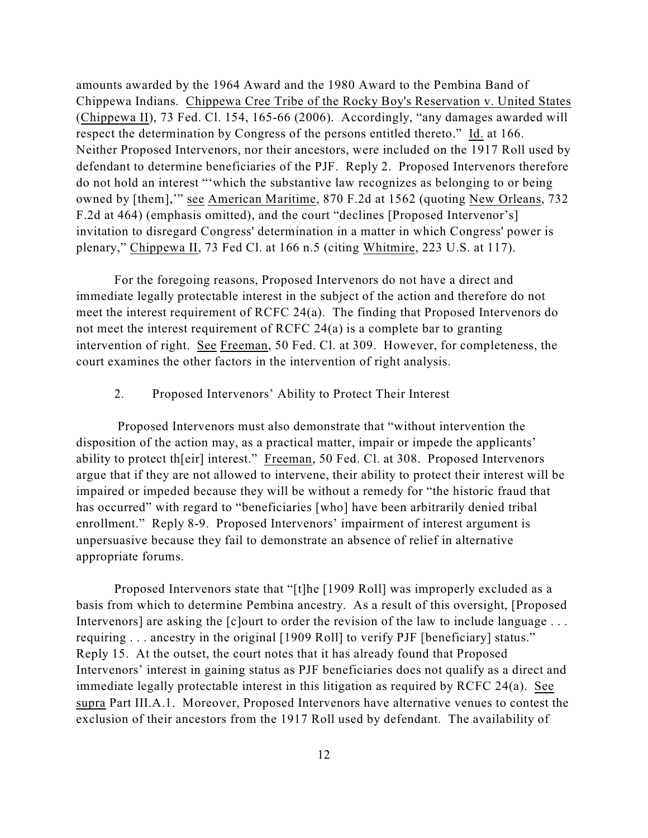amounts awarded by the 1964 Award and the 1980 Award to the Pembina Band of Chippewa Indians. Chippewa Cree Tribe of the Rocky Boy's Reservation v. United States (Chippewa II), 73 Fed. Cl. 154, 165-66 (2006). Accordingly, "any damages awarded will respect the determination by Congress of the persons entitled thereto." Id. at 166. Neither Proposed Intervenors, nor their ancestors, were included on the 1917 Roll used by defendant to determine beneficiaries of the PJF. Reply 2. Proposed Intervenors therefore do not hold an interest "'which the substantive law recognizes as belonging to or being owned by [them],'" see American Maritime, 870 F.2d at 1562 (quoting New Orleans, 732 F.2d at 464) (emphasis omitted), and the court "declines [Proposed Intervenor's] invitation to disregard Congress' determination in a matter in which Congress' power is plenary," Chippewa II, 73 Fed Cl. at 166 n.5 (citing Whitmire, 223 U.S. at 117).

For the foregoing reasons, Proposed Intervenors do not have a direct and immediate legally protectable interest in the subject of the action and therefore do not meet the interest requirement of RCFC 24(a). The finding that Proposed Intervenors do not meet the interest requirement of RCFC 24(a) is a complete bar to granting intervention of right. See Freeman, 50 Fed. Cl. at 309. However, for completeness, the court examines the other factors in the intervention of right analysis.

### 2. Proposed Intervenors' Ability to Protect Their Interest

 Proposed Intervenors must also demonstrate that "without intervention the disposition of the action may, as a practical matter, impair or impede the applicants' ability to protect th[eir] interest." Freeman, 50 Fed. Cl. at 308. Proposed Intervenors argue that if they are not allowed to intervene, their ability to protect their interest will be impaired or impeded because they will be without a remedy for "the historic fraud that has occurred" with regard to "beneficiaries [who] have been arbitrarily denied tribal enrollment." Reply 8-9. Proposed Intervenors' impairment of interest argument is unpersuasive because they fail to demonstrate an absence of relief in alternative appropriate forums.

Proposed Intervenors state that "[t]he [1909 Roll] was improperly excluded as a basis from which to determine Pembina ancestry. As a result of this oversight, [Proposed Intervenors] are asking the [c]ourt to order the revision of the law to include language ... requiring . . . ancestry in the original [1909 Roll] to verify PJF [beneficiary] status." Reply 15. At the outset, the court notes that it has already found that Proposed Intervenors' interest in gaining status as PJF beneficiaries does not qualify as a direct and immediate legally protectable interest in this litigation as required by RCFC 24(a). See supra Part III.A.1. Moreover, Proposed Intervenors have alternative venues to contest the exclusion of their ancestors from the 1917 Roll used by defendant. The availability of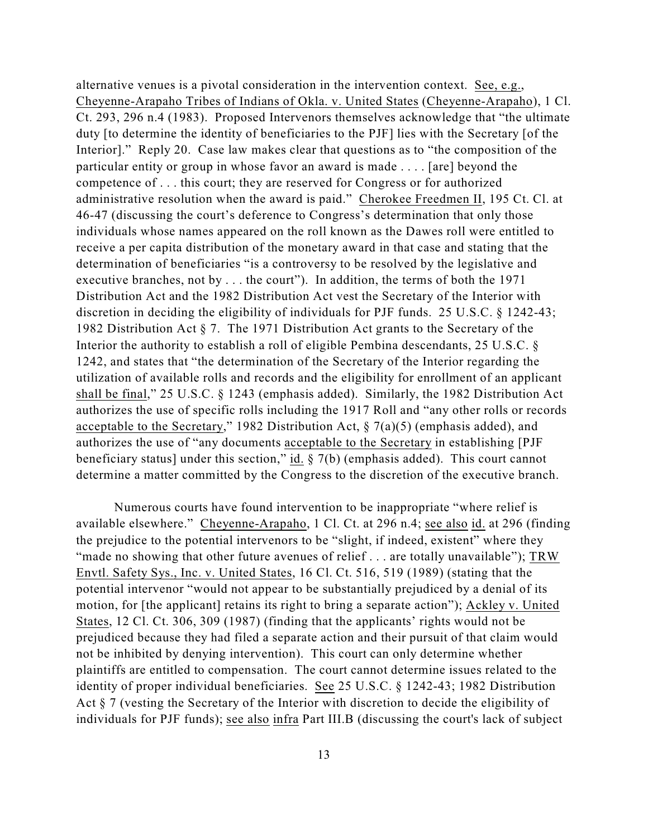alternative venues is a pivotal consideration in the intervention context. See, e.g., Cheyenne-Arapaho Tribes of Indians of Okla. v. United States (Cheyenne-Arapaho), 1 Cl. Ct. 293, 296 n.4 (1983). Proposed Intervenors themselves acknowledge that "the ultimate duty [to determine the identity of beneficiaries to the PJF] lies with the Secretary [of the Interior]." Reply 20. Case law makes clear that questions as to "the composition of the particular entity or group in whose favor an award is made . . . . [are] beyond the competence of . . . this court; they are reserved for Congress or for authorized administrative resolution when the award is paid." Cherokee Freedmen II, 195 Ct. Cl. at 46-47 (discussing the court's deference to Congress's determination that only those individuals whose names appeared on the roll known as the Dawes roll were entitled to receive a per capita distribution of the monetary award in that case and stating that the determination of beneficiaries "is a controversy to be resolved by the legislative and executive branches, not by . . . the court"). In addition, the terms of both the 1971 Distribution Act and the 1982 Distribution Act vest the Secretary of the Interior with discretion in deciding the eligibility of individuals for PJF funds. 25 U.S.C. § 1242-43; 1982 Distribution Act § 7. The 1971 Distribution Act grants to the Secretary of the Interior the authority to establish a roll of eligible Pembina descendants, 25 U.S.C. § 1242, and states that "the determination of the Secretary of the Interior regarding the utilization of available rolls and records and the eligibility for enrollment of an applicant shall be final," 25 U.S.C. § 1243 (emphasis added). Similarly, the 1982 Distribution Act authorizes the use of specific rolls including the 1917 Roll and "any other rolls or records acceptable to the Secretary," 1982 Distribution Act,  $\S$  7(a)(5) (emphasis added), and authorizes the use of "any documents acceptable to the Secretary in establishing [PJF beneficiary status] under this section," id.  $\S$  7(b) (emphasis added). This court cannot determine a matter committed by the Congress to the discretion of the executive branch.

Numerous courts have found intervention to be inappropriate "where relief is available elsewhere." Cheyenne-Arapaho, 1 Cl. Ct. at 296 n.4; see also id. at 296 (finding the prejudice to the potential intervenors to be "slight, if indeed, existent" where they "made no showing that other future avenues of relief . . . are totally unavailable"); TRW Envtl. Safety Sys., Inc. v. United States, 16 Cl. Ct. 516, 519 (1989) (stating that the potential intervenor "would not appear to be substantially prejudiced by a denial of its motion, for [the applicant] retains its right to bring a separate action"); Ackley v. United States, 12 Cl. Ct. 306, 309 (1987) (finding that the applicants' rights would not be prejudiced because they had filed a separate action and their pursuit of that claim would not be inhibited by denying intervention). This court can only determine whether plaintiffs are entitled to compensation. The court cannot determine issues related to the identity of proper individual beneficiaries. See 25 U.S.C. § 1242-43; 1982 Distribution Act § 7 (vesting the Secretary of the Interior with discretion to decide the eligibility of individuals for PJF funds); see also infra Part III.B (discussing the court's lack of subject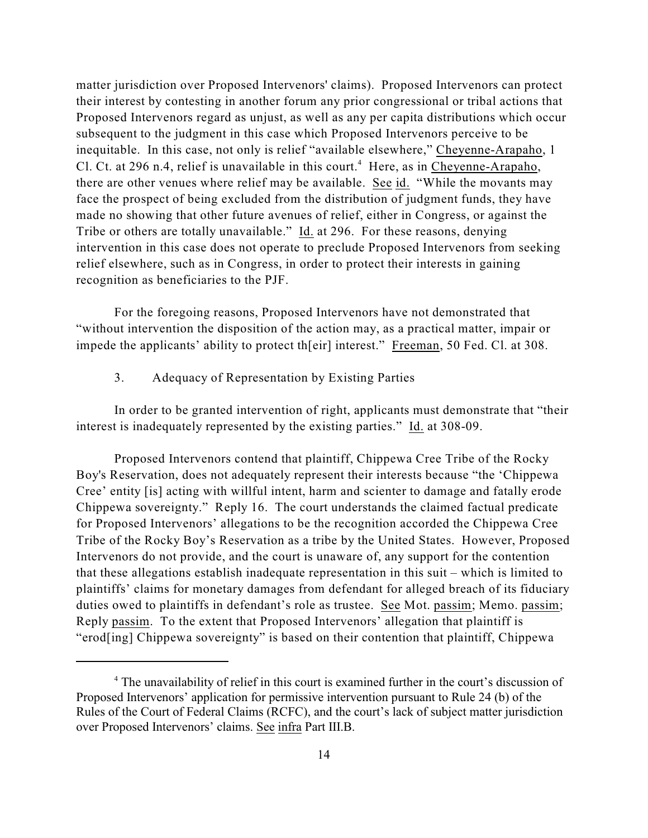matter jurisdiction over Proposed Intervenors' claims). Proposed Intervenors can protect their interest by contesting in another forum any prior congressional or tribal actions that Proposed Intervenors regard as unjust, as well as any per capita distributions which occur subsequent to the judgment in this case which Proposed Intervenors perceive to be inequitable. In this case, not only is relief "available elsewhere," Cheyenne-Arapaho, 1 Cl. Ct. at 296 n.4, relief is unavailable in this court.<sup>4</sup> Here, as in Cheyenne-Arapaho, there are other venues where relief may be available. See id. "While the movants may face the prospect of being excluded from the distribution of judgment funds, they have made no showing that other future avenues of relief, either in Congress, or against the Tribe or others are totally unavailable." Id. at 296. For these reasons, denying intervention in this case does not operate to preclude Proposed Intervenors from seeking relief elsewhere, such as in Congress, in order to protect their interests in gaining recognition as beneficiaries to the PJF.

For the foregoing reasons, Proposed Intervenors have not demonstrated that "without intervention the disposition of the action may, as a practical matter, impair or impede the applicants' ability to protect th[eir] interest." Freeman, 50 Fed. Cl. at 308.

3. Adequacy of Representation by Existing Parties

In order to be granted intervention of right, applicants must demonstrate that "their interest is inadequately represented by the existing parties." Id. at 308-09.

Proposed Intervenors contend that plaintiff, Chippewa Cree Tribe of the Rocky Boy's Reservation, does not adequately represent their interests because "the 'Chippewa Cree' entity [is] acting with willful intent, harm and scienter to damage and fatally erode Chippewa sovereignty." Reply 16. The court understands the claimed factual predicate for Proposed Intervenors' allegations to be the recognition accorded the Chippewa Cree Tribe of the Rocky Boy's Reservation as a tribe by the United States. However, Proposed Intervenors do not provide, and the court is unaware of, any support for the contention that these allegations establish inadequate representation in this suit – which is limited to plaintiffs' claims for monetary damages from defendant for alleged breach of its fiduciary duties owed to plaintiffs in defendant's role as trustee. See Mot. passim; Memo. passim; Reply passim. To the extent that Proposed Intervenors' allegation that plaintiff is "erod[ing] Chippewa sovereignty" is based on their contention that plaintiff, Chippewa

<sup>&</sup>lt;sup>4</sup> The unavailability of relief in this court is examined further in the court's discussion of Proposed Intervenors' application for permissive intervention pursuant to Rule 24 (b) of the Rules of the Court of Federal Claims (RCFC), and the court's lack of subject matter jurisdiction over Proposed Intervenors' claims. See infra Part III.B.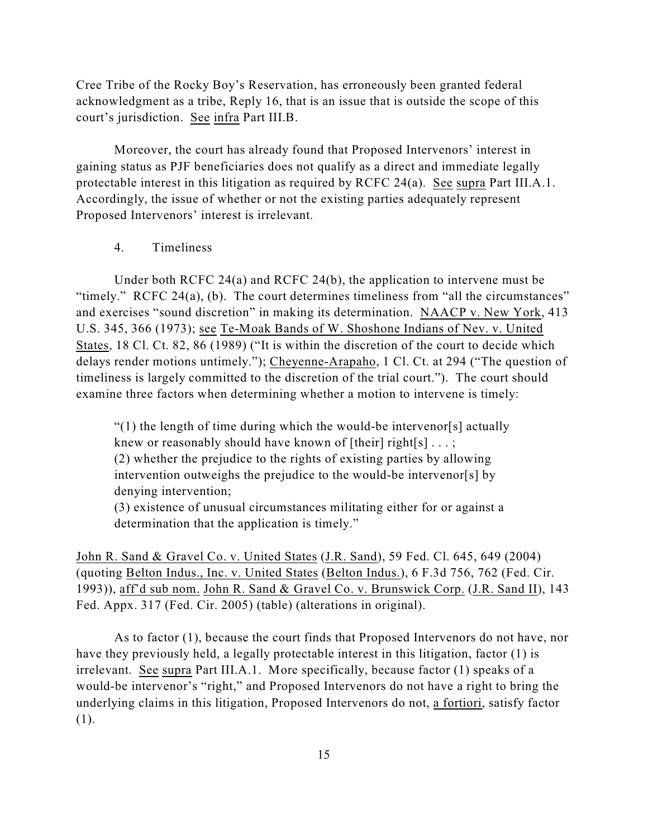Cree Tribe of the Rocky Boy's Reservation, has erroneously been granted federal acknowledgment as a tribe, Reply 16, that is an issue that is outside the scope of this court's jurisdiction. See infra Part III.B.

Moreover, the court has already found that Proposed Intervenors' interest in gaining status as PJF beneficiaries does not qualify as a direct and immediate legally protectable interest in this litigation as required by RCFC 24(a). See supra Part III.A.1. Accordingly, the issue of whether or not the existing parties adequately represent Proposed Intervenors' interest is irrelevant.

## 4. Timeliness

Under both RCFC 24(a) and RCFC 24(b), the application to intervene must be "timely." RCFC 24(a), (b). The court determines timeliness from "all the circumstances" and exercises "sound discretion" in making its determination. NAACP v. New York, 413 U.S. 345, 366 (1973); see Te-Moak Bands of W. Shoshone Indians of Nev. v. United States, 18 Cl. Ct. 82, 86 (1989) ("It is within the discretion of the court to decide which delays render motions untimely."); Cheyenne-Arapaho, 1 Cl. Ct. at 294 ("The question of timeliness is largely committed to the discretion of the trial court."). The court should examine three factors when determining whether a motion to intervene is timely:

 $(1)$  the length of time during which the would-be intervenor [s] actually knew or reasonably should have known of  $[their] right[s] \dots;$ (2) whether the prejudice to the rights of existing parties by allowing intervention outweighs the prejudice to the would-be intervenor[s] by denying intervention;

(3) existence of unusual circumstances militating either for or against a determination that the application is timely."

John R. Sand & Gravel Co. v. United States (J.R. Sand), 59 Fed. Cl. 645, 649 (2004) (quoting Belton Indus., Inc. v. United States (Belton Indus.), 6 F.3d 756, 762 (Fed. Cir. 1993)), aff'd sub nom. John R. Sand & Gravel Co. v. Brunswick Corp. (J.R. Sand II), 143 Fed. Appx. 317 (Fed. Cir. 2005) (table) (alterations in original).

As to factor (1), because the court finds that Proposed Intervenors do not have, nor have they previously held, a legally protectable interest in this litigation, factor (1) is irrelevant. See supra Part III.A.1. More specifically, because factor (1) speaks of a would-be intervenor's "right," and Proposed Intervenors do not have a right to bring the underlying claims in this litigation, Proposed Intervenors do not, a fortiori, satisfy factor (1).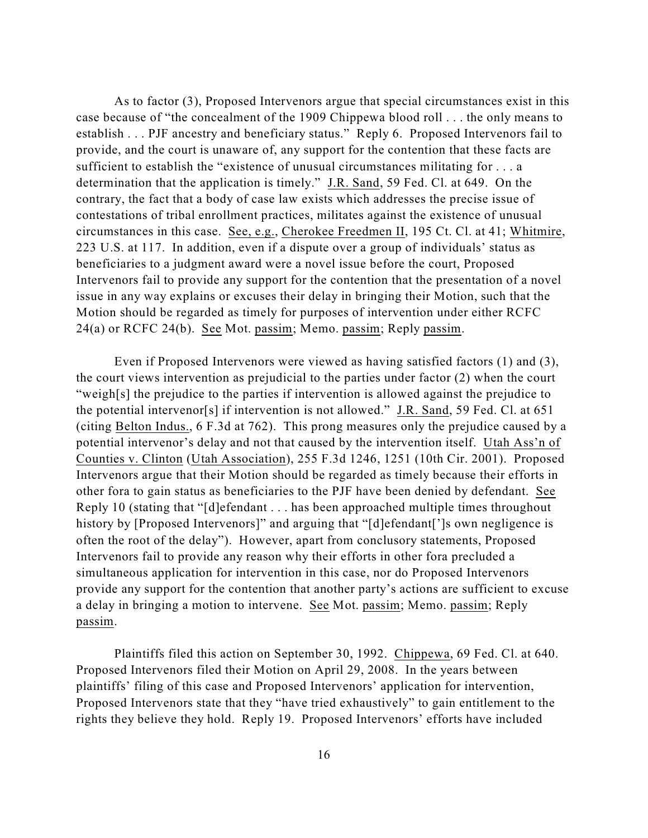As to factor (3), Proposed Intervenors argue that special circumstances exist in this case because of "the concealment of the 1909 Chippewa blood roll . . . the only means to establish . . . PJF ancestry and beneficiary status." Reply 6. Proposed Intervenors fail to provide, and the court is unaware of, any support for the contention that these facts are sufficient to establish the "existence of unusual circumstances militating for . . . a determination that the application is timely." J.R. Sand, 59 Fed. Cl. at 649. On the contrary, the fact that a body of case law exists which addresses the precise issue of contestations of tribal enrollment practices, militates against the existence of unusual circumstances in this case. See, e.g., Cherokee Freedmen II, 195 Ct. Cl. at 41; Whitmire, 223 U.S. at 117. In addition, even if a dispute over a group of individuals' status as beneficiaries to a judgment award were a novel issue before the court, Proposed Intervenors fail to provide any support for the contention that the presentation of a novel issue in any way explains or excuses their delay in bringing their Motion, such that the Motion should be regarded as timely for purposes of intervention under either RCFC 24(a) or RCFC 24(b). See Mot. passim; Memo. passim; Reply passim.

Even if Proposed Intervenors were viewed as having satisfied factors (1) and (3), the court views intervention as prejudicial to the parties under factor (2) when the court "weigh[s] the prejudice to the parties if intervention is allowed against the prejudice to the potential intervenor[s] if intervention is not allowed." J.R. Sand, 59 Fed. Cl. at 651 (citing Belton Indus., 6 F.3d at 762). This prong measures only the prejudice caused by a potential intervenor's delay and not that caused by the intervention itself. Utah Ass'n of Counties v. Clinton (Utah Association), 255 F.3d 1246, 1251 (10th Cir. 2001). Proposed Intervenors argue that their Motion should be regarded as timely because their efforts in other fora to gain status as beneficiaries to the PJF have been denied by defendant. See Reply 10 (stating that "[d]efendant . . . has been approached multiple times throughout history by [Proposed Intervenors]" and arguing that "[d]efendant[']s own negligence is often the root of the delay"). However, apart from conclusory statements, Proposed Intervenors fail to provide any reason why their efforts in other fora precluded a simultaneous application for intervention in this case, nor do Proposed Intervenors provide any support for the contention that another party's actions are sufficient to excuse a delay in bringing a motion to intervene. See Mot. passim; Memo. passim; Reply passim.

Plaintiffs filed this action on September 30, 1992. Chippewa, 69 Fed. Cl. at 640. Proposed Intervenors filed their Motion on April 29, 2008. In the years between plaintiffs' filing of this case and Proposed Intervenors' application for intervention, Proposed Intervenors state that they "have tried exhaustively" to gain entitlement to the rights they believe they hold. Reply 19. Proposed Intervenors' efforts have included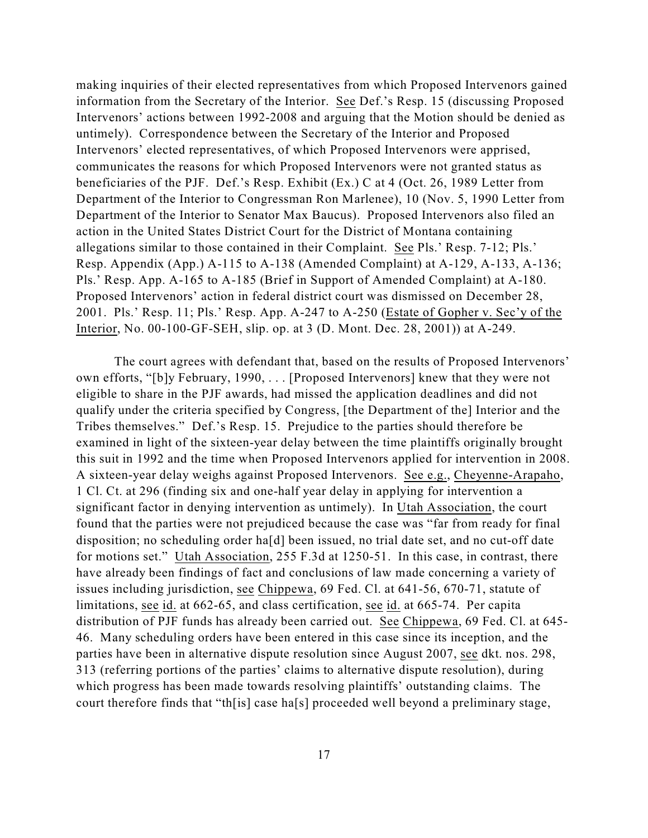making inquiries of their elected representatives from which Proposed Intervenors gained information from the Secretary of the Interior. See Def.'s Resp. 15 (discussing Proposed Intervenors' actions between 1992-2008 and arguing that the Motion should be denied as untimely). Correspondence between the Secretary of the Interior and Proposed Intervenors' elected representatives, of which Proposed Intervenors were apprised, communicates the reasons for which Proposed Intervenors were not granted status as beneficiaries of the PJF. Def.'s Resp. Exhibit (Ex.) C at 4 (Oct. 26, 1989 Letter from Department of the Interior to Congressman Ron Marlenee), 10 (Nov. 5, 1990 Letter from Department of the Interior to Senator Max Baucus). Proposed Intervenors also filed an action in the United States District Court for the District of Montana containing allegations similar to those contained in their Complaint. See Pls.' Resp. 7-12; Pls.' Resp. Appendix (App.) A-115 to A-138 (Amended Complaint) at A-129, A-133, A-136; Pls.' Resp. App. A-165 to A-185 (Brief in Support of Amended Complaint) at A-180. Proposed Intervenors' action in federal district court was dismissed on December 28, 2001. Pls.' Resp. 11; Pls.' Resp. App. A-247 to A-250 (Estate of Gopher v. Sec'y of the Interior, No. 00-100-GF-SEH, slip. op. at 3 (D. Mont. Dec. 28, 2001)) at A-249.

The court agrees with defendant that, based on the results of Proposed Intervenors' own efforts, "[b]y February, 1990, . . . [Proposed Intervenors] knew that they were not eligible to share in the PJF awards, had missed the application deadlines and did not qualify under the criteria specified by Congress, [the Department of the] Interior and the Tribes themselves." Def.'s Resp. 15. Prejudice to the parties should therefore be examined in light of the sixteen-year delay between the time plaintiffs originally brought this suit in 1992 and the time when Proposed Intervenors applied for intervention in 2008. A sixteen-year delay weighs against Proposed Intervenors. See e.g., Cheyenne-Arapaho, 1 Cl. Ct. at 296 (finding six and one-half year delay in applying for intervention a significant factor in denying intervention as untimely). In Utah Association, the court found that the parties were not prejudiced because the case was "far from ready for final disposition; no scheduling order ha[d] been issued, no trial date set, and no cut-off date for motions set." Utah Association, 255 F.3d at 1250-51. In this case, in contrast, there have already been findings of fact and conclusions of law made concerning a variety of issues including jurisdiction, see Chippewa, 69 Fed. Cl. at 641-56, 670-71, statute of limitations, see id. at 662-65, and class certification, see id. at 665-74. Per capita distribution of PJF funds has already been carried out. See Chippewa, 69 Fed. Cl. at 645- 46. Many scheduling orders have been entered in this case since its inception, and the parties have been in alternative dispute resolution since August 2007, see dkt. nos. 298, 313 (referring portions of the parties' claims to alternative dispute resolution), during which progress has been made towards resolving plaintiffs' outstanding claims. The court therefore finds that "th[is] case ha[s] proceeded well beyond a preliminary stage,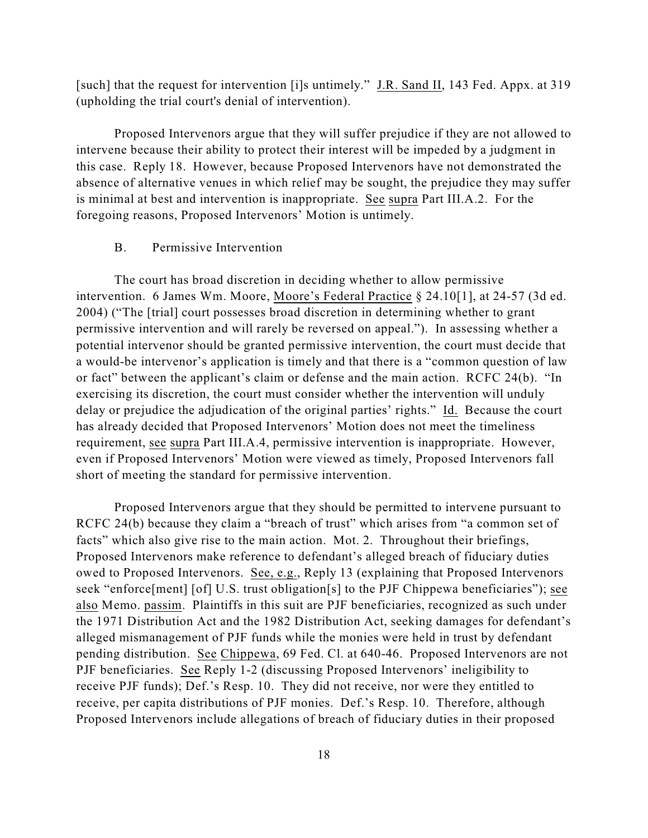[such] that the request for intervention [i]s untimely." J.R. Sand II, 143 Fed. Appx. at 319 (upholding the trial court's denial of intervention).

Proposed Intervenors argue that they will suffer prejudice if they are not allowed to intervene because their ability to protect their interest will be impeded by a judgment in this case. Reply 18. However, because Proposed Intervenors have not demonstrated the absence of alternative venues in which relief may be sought, the prejudice they may suffer is minimal at best and intervention is inappropriate. See supra Part III.A.2. For the foregoing reasons, Proposed Intervenors' Motion is untimely.

#### B. Permissive Intervention

The court has broad discretion in deciding whether to allow permissive intervention. 6 James Wm. Moore, Moore's Federal Practice § 24.10[1], at 24-57 (3d ed. 2004) ("The [trial] court possesses broad discretion in determining whether to grant permissive intervention and will rarely be reversed on appeal."). In assessing whether a potential intervenor should be granted permissive intervention, the court must decide that a would-be intervenor's application is timely and that there is a "common question of law or fact" between the applicant's claim or defense and the main action. RCFC 24(b). "In exercising its discretion, the court must consider whether the intervention will unduly delay or prejudice the adjudication of the original parties' rights." Id. Because the court has already decided that Proposed Intervenors' Motion does not meet the timeliness requirement, see supra Part III.A.4, permissive intervention is inappropriate. However, even if Proposed Intervenors' Motion were viewed as timely, Proposed Intervenors fall short of meeting the standard for permissive intervention.

Proposed Intervenors argue that they should be permitted to intervene pursuant to RCFC 24(b) because they claim a "breach of trust" which arises from "a common set of facts" which also give rise to the main action. Mot. 2. Throughout their briefings, Proposed Intervenors make reference to defendant's alleged breach of fiduciary duties owed to Proposed Intervenors. See, e.g., Reply 13 (explaining that Proposed Intervenors seek "enforce[ment] [of] U.S. trust obligation[s] to the PJF Chippewa beneficiaries"); see also Memo. passim. Plaintiffs in this suit are PJF beneficiaries, recognized as such under the 1971 Distribution Act and the 1982 Distribution Act, seeking damages for defendant's alleged mismanagement of PJF funds while the monies were held in trust by defendant pending distribution. See Chippewa, 69 Fed. Cl. at 640-46. Proposed Intervenors are not PJF beneficiaries. See Reply 1-2 (discussing Proposed Intervenors' ineligibility to receive PJF funds); Def.'s Resp. 10. They did not receive, nor were they entitled to receive, per capita distributions of PJF monies. Def.'s Resp. 10. Therefore, although Proposed Intervenors include allegations of breach of fiduciary duties in their proposed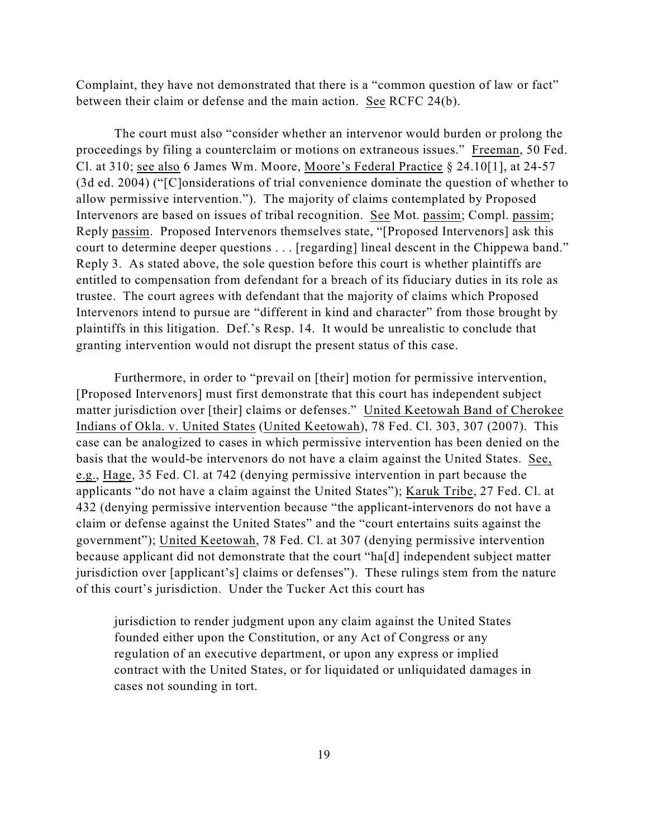Complaint, they have not demonstrated that there is a "common question of law or fact" between their claim or defense and the main action. See RCFC 24(b).

The court must also "consider whether an intervenor would burden or prolong the proceedings by filing a counterclaim or motions on extraneous issues." Freeman, 50 Fed. Cl. at 310; see also 6 James Wm. Moore, Moore's Federal Practice § 24.10[1], at 24-57 (3d ed. 2004) ("[C]onsiderations of trial convenience dominate the question of whether to allow permissive intervention."). The majority of claims contemplated by Proposed Intervenors are based on issues of tribal recognition. See Mot. passim; Compl. passim; Reply passim. Proposed Intervenors themselves state, "[Proposed Intervenors] ask this court to determine deeper questions . . . [regarding] lineal descent in the Chippewa band." Reply 3. As stated above, the sole question before this court is whether plaintiffs are entitled to compensation from defendant for a breach of its fiduciary duties in its role as trustee. The court agrees with defendant that the majority of claims which Proposed Intervenors intend to pursue are "different in kind and character" from those brought by plaintiffs in this litigation. Def.'s Resp. 14. It would be unrealistic to conclude that granting intervention would not disrupt the present status of this case.

Furthermore, in order to "prevail on [their] motion for permissive intervention, [Proposed Intervenors] must first demonstrate that this court has independent subject matter jurisdiction over [their] claims or defenses." United Keetowah Band of Cherokee Indians of Okla. v. United States (United Keetowah), 78 Fed. Cl. 303, 307 (2007). This case can be analogized to cases in which permissive intervention has been denied on the basis that the would-be intervenors do not have a claim against the United States. See, e.g., Hage, 35 Fed. Cl. at 742 (denying permissive intervention in part because the applicants "do not have a claim against the United States"); Karuk Tribe, 27 Fed. Cl. at 432 (denying permissive intervention because "the applicant-intervenors do not have a claim or defense against the United States" and the "court entertains suits against the government"); United Keetowah, 78 Fed. Cl. at 307 (denying permissive intervention because applicant did not demonstrate that the court "ha[d] independent subject matter jurisdiction over [applicant's] claims or defenses"). These rulings stem from the nature of this court's jurisdiction. Under the Tucker Act this court has

jurisdiction to render judgment upon any claim against the United States founded either upon the Constitution, or any Act of Congress or any regulation of an executive department, or upon any express or implied contract with the United States, or for liquidated or unliquidated damages in cases not sounding in tort.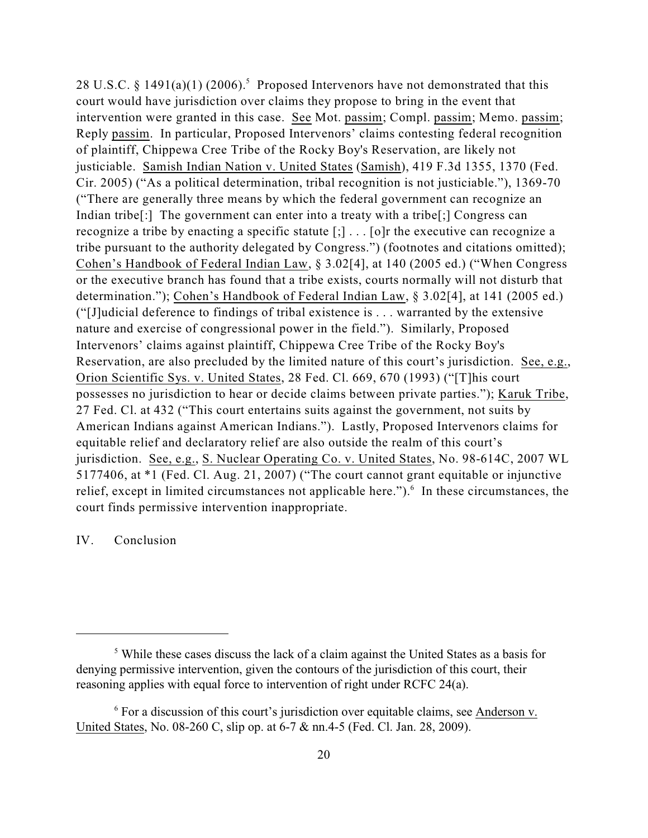28 U.S.C. § 1491(a)(1) (2006).<sup>5</sup> Proposed Intervenors have not demonstrated that this court would have jurisdiction over claims they propose to bring in the event that intervention were granted in this case. See Mot. passim; Compl. passim; Memo. passim; Reply passim. In particular, Proposed Intervenors' claims contesting federal recognition of plaintiff, Chippewa Cree Tribe of the Rocky Boy's Reservation, are likely not justiciable. Samish Indian Nation v. United States (Samish), 419 F.3d 1355, 1370 (Fed. Cir. 2005) ("As a political determination, tribal recognition is not justiciable."), 1369-70 ("There are generally three means by which the federal government can recognize an Indian tribe<sup>[:]</sup> The government can enter into a treaty with a tribe<sup>[:]</sup> Congress can recognize a tribe by enacting a specific statute [;] . . . [o]r the executive can recognize a tribe pursuant to the authority delegated by Congress.") (footnotes and citations omitted); Cohen's Handbook of Federal Indian Law, § 3.02[4], at 140 (2005 ed.) ("When Congress or the executive branch has found that a tribe exists, courts normally will not disturb that determination."); Cohen's Handbook of Federal Indian Law, § 3.02[4], at 141 (2005 ed.) ("[J]udicial deference to findings of tribal existence is . . . warranted by the extensive nature and exercise of congressional power in the field."). Similarly, Proposed Intervenors' claims against plaintiff, Chippewa Cree Tribe of the Rocky Boy's Reservation, are also precluded by the limited nature of this court's jurisdiction. See, e.g., Orion Scientific Sys. v. United States, 28 Fed. Cl. 669, 670 (1993) ("[T]his court possesses no jurisdiction to hear or decide claims between private parties."); Karuk Tribe, 27 Fed. Cl. at 432 ("This court entertains suits against the government, not suits by American Indians against American Indians."). Lastly, Proposed Intervenors claims for equitable relief and declaratory relief are also outside the realm of this court's jurisdiction. See, e.g., S. Nuclear Operating Co. v. United States, No. 98-614C, 2007 WL 5177406, at \*1 (Fed. Cl. Aug. 21, 2007) ("The court cannot grant equitable or injunctive relief, except in limited circumstances not applicable here."). In these circumstances, the court finds permissive intervention inappropriate.

## IV. Conclusion

<sup>&</sup>lt;sup>5</sup> While these cases discuss the lack of a claim against the United States as a basis for denying permissive intervention, given the contours of the jurisdiction of this court, their reasoning applies with equal force to intervention of right under RCFC 24(a).

 $\delta$  For a discussion of this court's jurisdiction over equitable claims, see Anderson v. United States, No. 08-260 C, slip op. at 6-7 & nn.4-5 (Fed. Cl. Jan. 28, 2009).